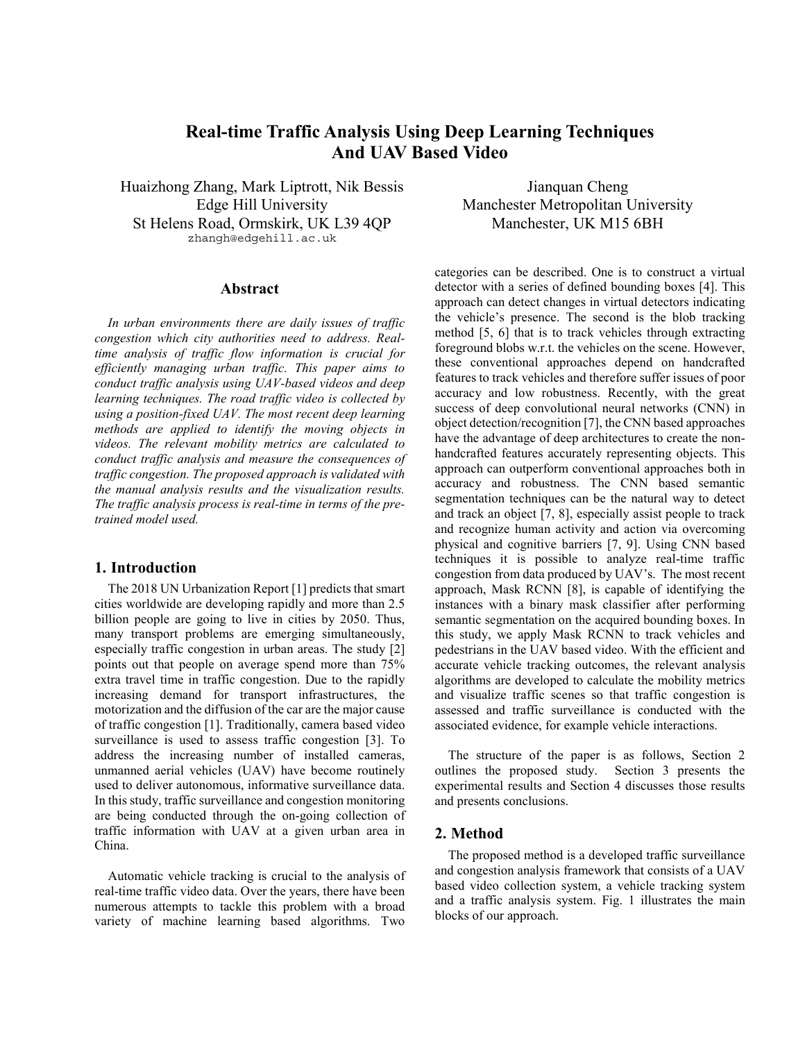# **Real-time Traffic Analysis Using Deep Learning Techniques And UAV Based Video**

Huaizhong Zhang, Mark Liptrott, Nik Bessis Edge Hill University St Helens Road, Ormskirk, UK L39 4QP zhangh@edgehill.ac.uk

### **Abstract**

*In urban environments there are daily issues of traffic congestion which city authorities need to address. Realtime analysis of traffic flow information is crucial for efficiently managing urban traffic. This paper aims to conduct traffic analysis using UAV-based videos and deep learning techniques. The road traffic video is collected by using a position-fixed UAV. The most recent deep learning methods are applied to identify the moving objects in videos. The relevant mobility metrics are calculated to conduct traffic analysis and measure the consequences of traffic congestion. The proposed approach is validated with the manual analysis results and the visualization results. The traffic analysis process is real-time in terms of the pretrained model used.* 

#### **1. Introduction**

The 2018 UN Urbanization Report [1] predicts that smart cities worldwide are developing rapidly and more than 2.5 billion people are going to live in cities by 2050. Thus, many transport problems are emerging simultaneously, especially traffic congestion in urban areas. The study [2] points out that people on average spend more than 75% extra travel time in traffic congestion. Due to the rapidly increasing demand for transport infrastructures, the motorization and the diffusion of the car are the major cause of traffic congestion [1]. Traditionally, camera based video surveillance is used to assess traffic congestion [3]. To address the increasing number of installed cameras, unmanned aerial vehicles (UAV) have become routinely used to deliver autonomous, informative surveillance data. In this study, traffic surveillance and congestion monitoring are being conducted through the on-going collection of traffic information with UAV at a given urban area in China.

Automatic vehicle tracking is crucial to the analysis of real-time traffic video data. Over the years, there have been numerous attempts to tackle this problem with a broad variety of machine learning based algorithms. Two

Jianquan Cheng Manchester Metropolitan University Manchester, UK M15 6BH

categories can be described. One is to construct a virtual detector with a series of defined bounding boxes [4]. This approach can detect changes in virtual detectors indicating the vehicle's presence. The second is the blob tracking method [5, 6] that is to track vehicles through extracting foreground blobs w.r.t. the vehicles on the scene. However, these conventional approaches depend on handcrafted features to track vehicles and therefore suffer issues of poor accuracy and low robustness. Recently, with the great success of deep convolutional neural networks (CNN) in object detection/recognition [7], the CNN based approaches have the advantage of deep architectures to create the nonhandcrafted features accurately representing objects. This approach can outperform conventional approaches both in accuracy and robustness. The CNN based semantic segmentation techniques can be the natural way to detect and track an object [7, 8], especially assist people to track and recognize human activity and action via overcoming physical and cognitive barriers [7, 9]. Using CNN based techniques it is possible to analyze real-time traffic congestion from data produced by UAV's. The most recent approach, Mask RCNN [8], is capable of identifying the instances with a binary mask classifier after performing semantic segmentation on the acquired bounding boxes. In this study, we apply Mask RCNN to track vehicles and pedestrians in the UAV based video. With the efficient and accurate vehicle tracking outcomes, the relevant analysis algorithms are developed to calculate the mobility metrics and visualize traffic scenes so that traffic congestion is assessed and traffic surveillance is conducted with the associated evidence, for example vehicle interactions.

The structure of the paper is as follows, Section 2 outlines the proposed study. Section 3 presents the experimental results and Section 4 discusses those results and presents conclusions.

### **2. Method**

The proposed method is a developed traffic surveillance and congestion analysis framework that consists of a UAV based video collection system, a vehicle tracking system and a traffic analysis system. Fig. 1 illustrates the main blocks of our approach.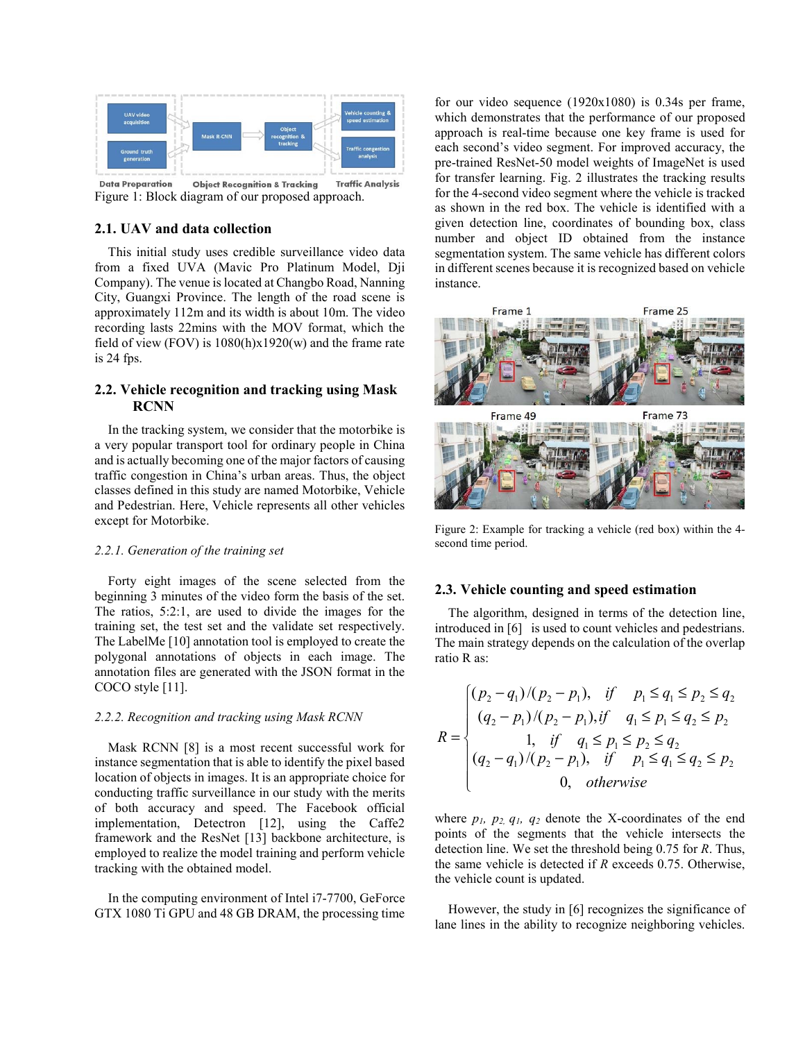

**Data Preparation Object Recognition & Tracking Traffic Analysis** Figure 1: Block diagram of our proposed approach.

### **2.1. UAV and data collection**

This initial study uses credible surveillance video data from a fixed UVA (Mavic Pro Platinum Model, Dji Company). The venue is located at Changbo Road, Nanning City, Guangxi Province. The length of the road scene is approximately 112m and its width is about 10m. The video recording lasts 22mins with the MOV format, which the field of view (FOV) is  $1080(h)x1920(w)$  and the frame rate is 24 fps.

# **2.2. Vehicle recognition and tracking using Mask RCNN**

In the tracking system, we consider that the motorbike is a very popular transport tool for ordinary people in China and is actually becoming one of the major factors of causing traffic congestion in China's urban areas. Thus, the object classes defined in this study are named Motorbike, Vehicle and Pedestrian. Here, Vehicle represents all other vehicles except for Motorbike.

#### *2.2.1. Generation of the training set*

Forty eight images of the scene selected from the beginning 3 minutes of the video form the basis of the set. The ratios, 5:2:1, are used to divide the images for the training set, the test set and the validate set respectively. The LabelMe [10] annotation tool is employed to create the polygonal annotations of objects in each image. The annotation files are generated with the JSON format in the COCO style [11].

#### *2.2.2. Recognition and tracking using Mask RCNN*

Mask RCNN [8] is a most recent successful work for instance segmentation that is able to identify the pixel based location of objects in images. It is an appropriate choice for conducting traffic surveillance in our study with the merits of both accuracy and speed. The Facebook official implementation, Detectron [12], using the Caffe2 framework and the ResNet [13] backbone architecture, is employed to realize the model training and perform vehicle tracking with the obtained model.

In the computing environment of Intel i7-7700, GeForce GTX 1080 Ti GPU and 48 GB DRAM, the processing time

for our video sequence (1920x1080) is 0.34s per frame, which demonstrates that the performance of our proposed approach is real-time because one key frame is used for each second's video segment. For improved accuracy, the pre-trained ResNet-50 model weights of ImageNet is used for transfer learning. Fig. 2 illustrates the tracking results for the 4-second video segment where the vehicle is tracked as shown in the red box. The vehicle is identified with a given detection line, coordinates of bounding box, class number and object ID obtained from the instance segmentation system. The same vehicle has different colors in different scenes because it is recognized based on vehicle instance.



Figure 2: Example for tracking a vehicle (red box) within the 4 second time period.

#### **2.3. Vehicle counting and speed estimation**

The algorithm, designed in terms of the detection line, introduced in [6] is used to count vehicles and pedestrians. The main strategy depends on the calculation of the overlap ratio R as:

$$
R = \begin{cases} (p_2 - q_1)/(p_2 - p_1), & \text{if } p_1 \le q_1 \le p_2 \le q_2 \\ (q_2 - p_1)/(p_2 - p_1), & \text{if } q_1 \le p_1 \le q_2 \le p_2 \\ 1, & \text{if } q_1 \le p_1 \le p_2 \le q_2 \\ (q_2 - q_1)/(p_2 - p_1), & \text{if } p_1 \le q_1 \le q_2 \le p_2 \\ 0, & \text{otherwise} \end{cases}
$$

where  $p_1$ ,  $p_2$ ,  $q_1$ ,  $q_2$  denote the X-coordinates of the end points of the segments that the vehicle intersects the detection line. We set the threshold being 0.75 for *R*. Thus, the same vehicle is detected if *R* exceeds 0.75. Otherwise, the vehicle count is updated.

However, the study in [6] recognizes the significance of lane lines in the ability to recognize neighboring vehicles.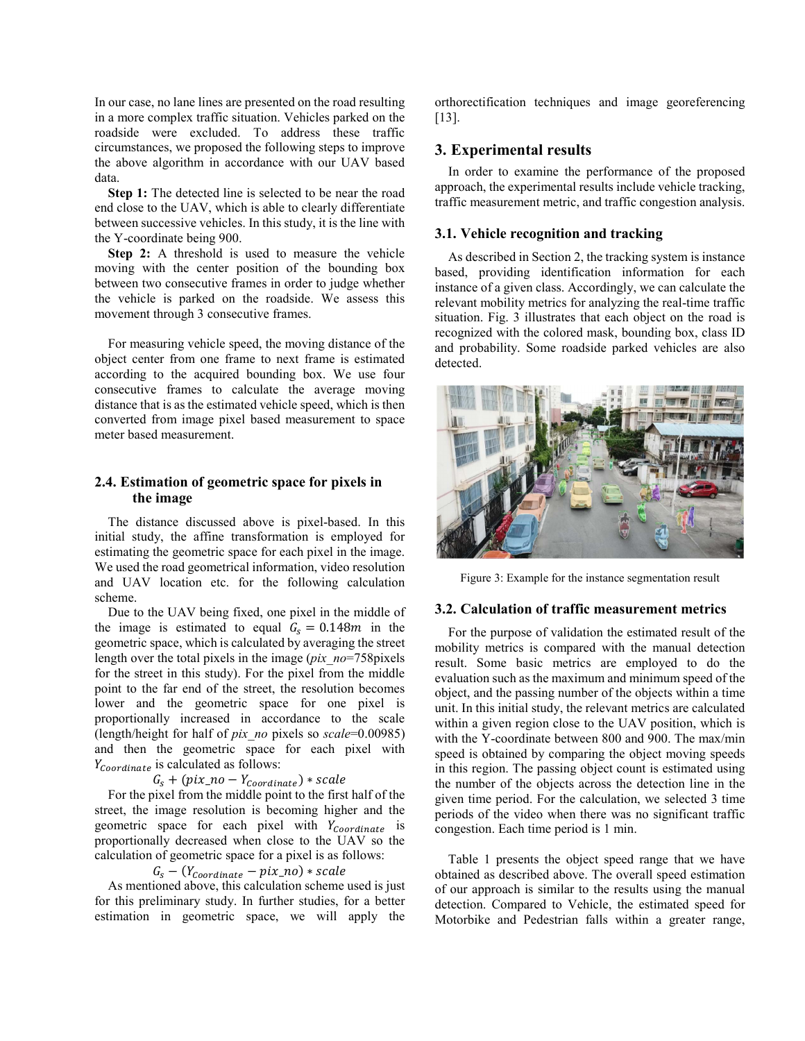In our case, no lane lines are presented on the road resulting in a more complex traffic situation. Vehicles parked on the roadside were excluded. To address these traffic circumstances, we proposed the following steps to improve the above algorithm in accordance with our UAV based data.

**Step 1:** The detected line is selected to be near the road end close to the UAV, which is able to clearly differentiate between successive vehicles. In this study, it is the line with the Y-coordinate being 900.

**Step 2:** A threshold is used to measure the vehicle moving with the center position of the bounding box between two consecutive frames in order to judge whether the vehicle is parked on the roadside. We assess this movement through 3 consecutive frames.

For measuring vehicle speed, the moving distance of the object center from one frame to next frame is estimated according to the acquired bounding box. We use four consecutive frames to calculate the average moving distance that is as the estimated vehicle speed, which is then converted from image pixel based measurement to space meter based measurement.

# **2.4. Estimation of geometric space for pixels in the image**

The distance discussed above is pixel-based. In this initial study, the affine transformation is employed for estimating the geometric space for each pixel in the image. We used the road geometrical information, video resolution and UAV location etc. for the following calculation scheme.

Due to the UAV being fixed, one pixel in the middle of the image is estimated to equal  $G_s = 0.148m$  in the geometric space, which is calculated by averaging the street length over the total pixels in the image (*pix\_no*=758pixels for the street in this study). For the pixel from the middle point to the far end of the street, the resolution becomes lower and the geometric space for one pixel is proportionally increased in accordance to the scale (length/height for half of *pix\_no* pixels so *scale*=0.00985) and then the geometric space for each pixel with  $Y_{Coordinate}$  is calculated as follows:

 $G_s + (pix\_no - Y_{coordinate}) * scale$ 

For the pixel from the middle point to the first half of the street, the image resolution is becoming higher and the geometric space for each pixel with  $Y_{coordinate}$  is proportionally decreased when close to the UAV so the calculation of geometric space for a pixel is as follows:

 $G_s - (Y_{coordinate} - pix\_no) * scale$ 

As mentioned above, this calculation scheme used is just for this preliminary study. In further studies, for a better estimation in geometric space, we will apply the orthorectification techniques and image georeferencing [13].

# **3. Experimental results**

In order to examine the performance of the proposed approach, the experimental results include vehicle tracking, traffic measurement metric, and traffic congestion analysis.

### **3.1. Vehicle recognition and tracking**

As described in Section 2, the tracking system is instance based, providing identification information for each instance of a given class. Accordingly, we can calculate the relevant mobility metrics for analyzing the real-time traffic situation. Fig. 3 illustrates that each object on the road is recognized with the colored mask, bounding box, class ID and probability. Some roadside parked vehicles are also detected.



Figure 3: Example for the instance segmentation result

#### **3.2. Calculation of traffic measurement metrics**

For the purpose of validation the estimated result of the mobility metrics is compared with the manual detection result. Some basic metrics are employed to do the evaluation such as the maximum and minimum speed of the object, and the passing number of the objects within a time unit. In this initial study, the relevant metrics are calculated within a given region close to the UAV position, which is with the Y-coordinate between 800 and 900. The max/min speed is obtained by comparing the object moving speeds in this region. The passing object count is estimated using the number of the objects across the detection line in the given time period. For the calculation, we selected 3 time periods of the video when there was no significant traffic congestion. Each time period is 1 min.

Table 1 presents the object speed range that we have obtained as described above. The overall speed estimation of our approach is similar to the results using the manual detection. Compared to Vehicle, the estimated speed for Motorbike and Pedestrian falls within a greater range,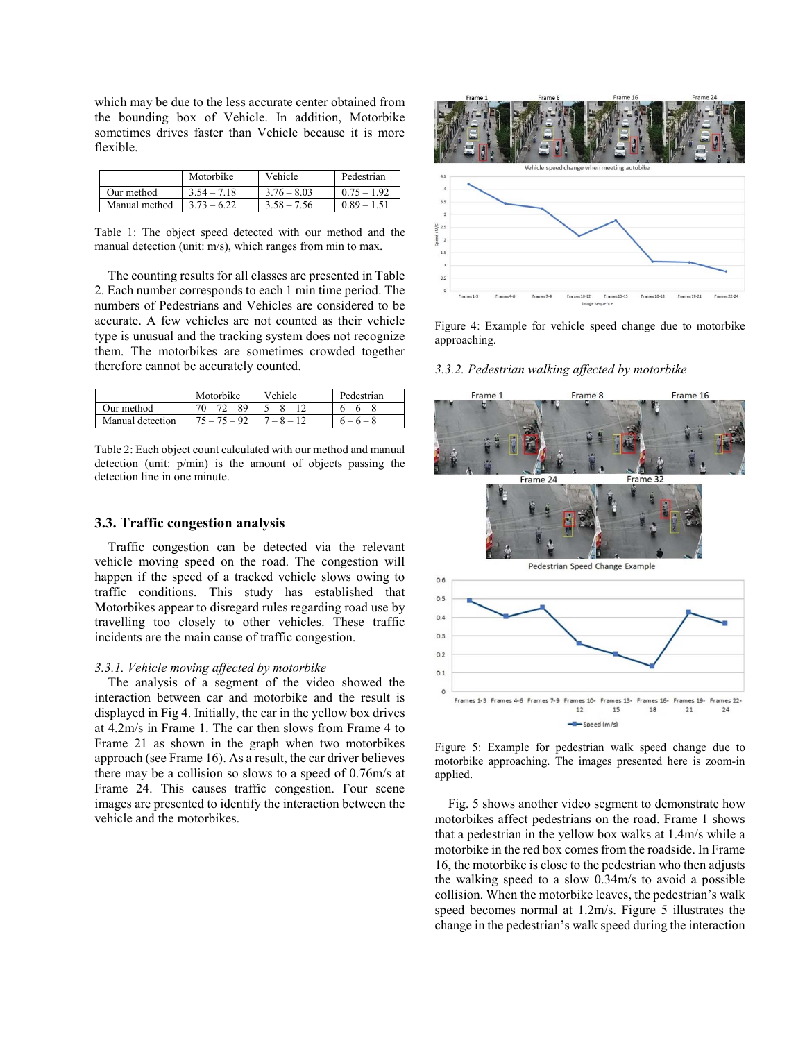which may be due to the less accurate center obtained from the bounding box of Vehicle. In addition, Motorbike sometimes drives faster than Vehicle because it is more flexible.

|               | Motorbike     | Vehicle       | Pedestrian    |
|---------------|---------------|---------------|---------------|
| Our method    | $354 - 718$   | $3.76 - 8.03$ | $0.75 - 1.92$ |
| Manual method | $3.73 - 6.22$ | $3.58 - 7.56$ | $0.89 - 1.51$ |

Table 1: The object speed detected with our method and the manual detection (unit: m/s), which ranges from min to max.

The counting results for all classes are presented in Table 2. Each number corresponds to each 1 min time period. The numbers of Pedestrians and Vehicles are considered to be accurate. A few vehicles are not counted as their vehicle type is unusual and the tracking system does not recognize them. The motorbikes are sometimes crowded together therefore cannot be accurately counted.

|                  | Motorbike      | Vehicle      | Pedestrian  |
|------------------|----------------|--------------|-------------|
| Our method       | $70 - 72 - 89$ | $5 - 8 - 12$ | $6 - 6 - 8$ |
| Manual detection | $75 - 75 - 92$ | $1 - 8 - 12$ | $6 - 6 - 8$ |

Table 2: Each object count calculated with our method and manual detection (unit: p/min) is the amount of objects passing the detection line in one minute.

# **3.3. Traffic congestion analysis**

Traffic congestion can be detected via the relevant vehicle moving speed on the road. The congestion will happen if the speed of a tracked vehicle slows owing to traffic conditions. This study has established that Motorbikes appear to disregard rules regarding road use by travelling too closely to other vehicles. These traffic incidents are the main cause of traffic congestion.

#### *3.3.1. Vehicle moving affected by motorbike*

The analysis of a segment of the video showed the interaction between car and motorbike and the result is displayed in Fig 4. Initially, the car in the yellow box drives at 4.2m/s in Frame 1. The car then slows from Frame 4 to Frame 21 as shown in the graph when two motorbikes approach (see Frame 16). As a result, the car driver believes there may be a collision so slows to a speed of 0.76m/s at Frame 24. This causes traffic congestion. Four scene images are presented to identify the interaction between the vehicle and the motorbikes.



Figure 4: Example for vehicle speed change due to motorbike approaching.

### *3.3.2. Pedestrian walking affected by motorbike*



Figure 5: Example for pedestrian walk speed change due to motorbike approaching. The images presented here is zoom-in applied.

Fig. 5 shows another video segment to demonstrate how motorbikes affect pedestrians on the road. Frame 1 shows that a pedestrian in the yellow box walks at 1.4m/s while a motorbike in the red box comes from the roadside. In Frame 16, the motorbike is close to the pedestrian who then adjusts the walking speed to a slow 0.34m/s to avoid a possible collision. When the motorbike leaves, the pedestrian's walk speed becomes normal at 1.2m/s. Figure 5 illustrates the change in the pedestrian's walk speed during the interaction